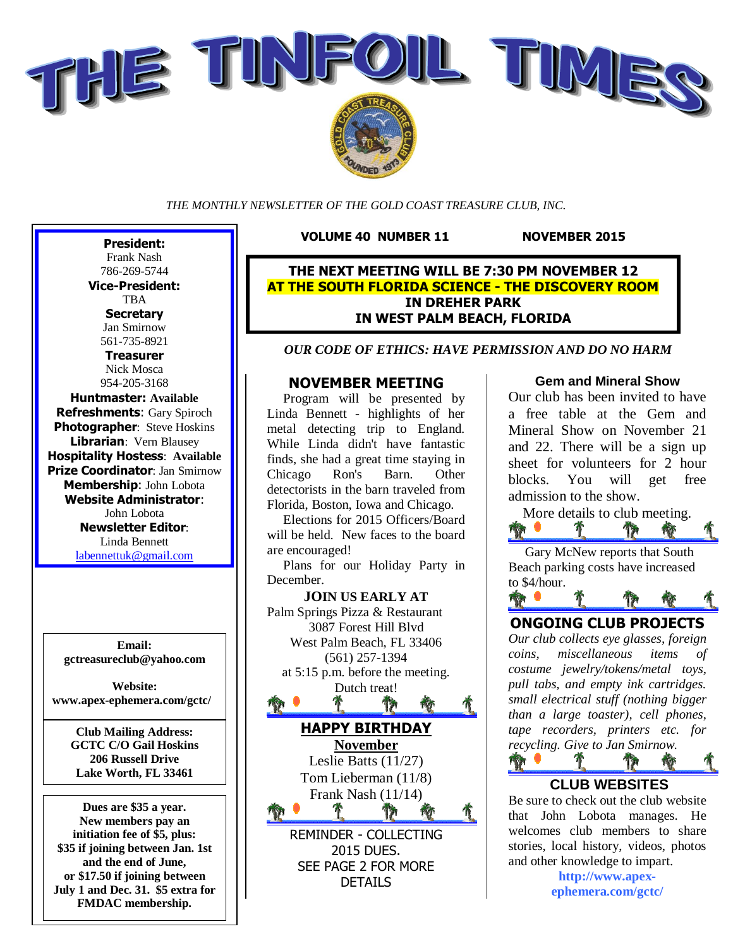

*THE MONTHLY NEWSLETTER OF THE GOLD COAST TREASURE CLUB, INC.*

**VOLUME 40 NUMBER 11 NOVEMBER 2015** 

**THE NEXT MEETING WILL BE 7:30 PM NOVEMBER 12 AT THE SOUTH FLORIDA SCIENCE - THE DISCOVERY ROOM IN DREHER PARK IN WEST PALM BEACH, FLORIDA**

*OUR CODE OF ETHICS: HAVE PERMISSION AND DO NO HARM*

#### **NOVEMBER MEETING**

Program will be presented by Linda Bennett - highlights of her metal detecting trip to England. While Linda didn't have fantastic finds, she had a great time staying in Chicago Ron's Barn. Other detectorists in the barn traveled from Florida, Boston, Iowa and Chicago.

Elections for 2015 Officers/Board will be held. New faces to the board are encouraged!

Plans for our Holiday Party in December.

**JOIN US EARLY AT** Palm Springs Pizza & Restaurant 3087 Forest Hill Blvd West Palm Beach, FL 33406 (561) 257-1394 at 5:15 p.m. before the meeting. Dutch treat!  $\mathbf{T}$ 常 **HAPPY BIRTHDAY November** Leslie Batts (11/27) Tom Lieberman (11/8) Frank Nash (11/14) 肯 REMINDER - COLLECTING 2015 DUES. SEE PAGE 2 FOR MORE

DETAILS

#### **Gem and Mineral Show**

Our club has been invited to have a free table at the Gem and Mineral Show on November 21 and 22. There will be a sign up sheet for volunteers for 2 hour blocks. You will get free admission to the show.

More details to club meeting.<br>  $\bullet$   $\bullet$   $\bullet$   $\bullet$   $\bullet$   $\bullet$ T. Th

Gary McNew reports that South Beach parking costs have increased to \$4/hour.

## ਿੰ । **ONGOING CLUB PROJECTS**

*Our club collects eye glasses, foreign coins, miscellaneous items of costume jewelry/tokens/metal toys, pull tabs, and empty ink cartridges. small electrical stuff (nothing bigger than a large toaster), cell phones, tape recorders, printers etc. for recycling. Give to Jan Smirnow.*

### **CLUB WEBSITES**

17

T

**THE P** 

Be sure to check out the club website that John Lobota manages. He welcomes club members to share stories, local history, videos, photos and other knowledge to impart.

> **http://www.apexephemera.com/gctc/**

**Vice-President:** TBA **Secretary** Jan Smirnow 561-735-8921 **Treasurer** Nick Mosca 954-205-3168 **Huntmaster: Available Refreshments**: Gary Spiroch **Photographer: Steve Hoskins Librarian**: Vern Blausey **Hospitality Hostess**: **Available Prize Coordinator**: Jan Smirnow **Membership**: John Lobota **Website Administrator**: John Lobota **Newsletter Editor**: Linda Bennett labennettuk@gmail.com

**President:** Frank Nash 786-269-5744

**Email: gctreasureclub@yahoo.com**

**Website: www.apex-ephemera.com/gctc/**

> **Club Mailing Address: GCTC C/O Gail Hoskins 206 Russell Drive Lake Worth, FL 33461**

**Dues are \$35 a year. New members pay an initiation fee of \$5, plus: \$35 if joining between Jan. 1st and the end of June, or \$17.50 if joining between July 1 and Dec. 31. \$5 extra for FMDAC membership.**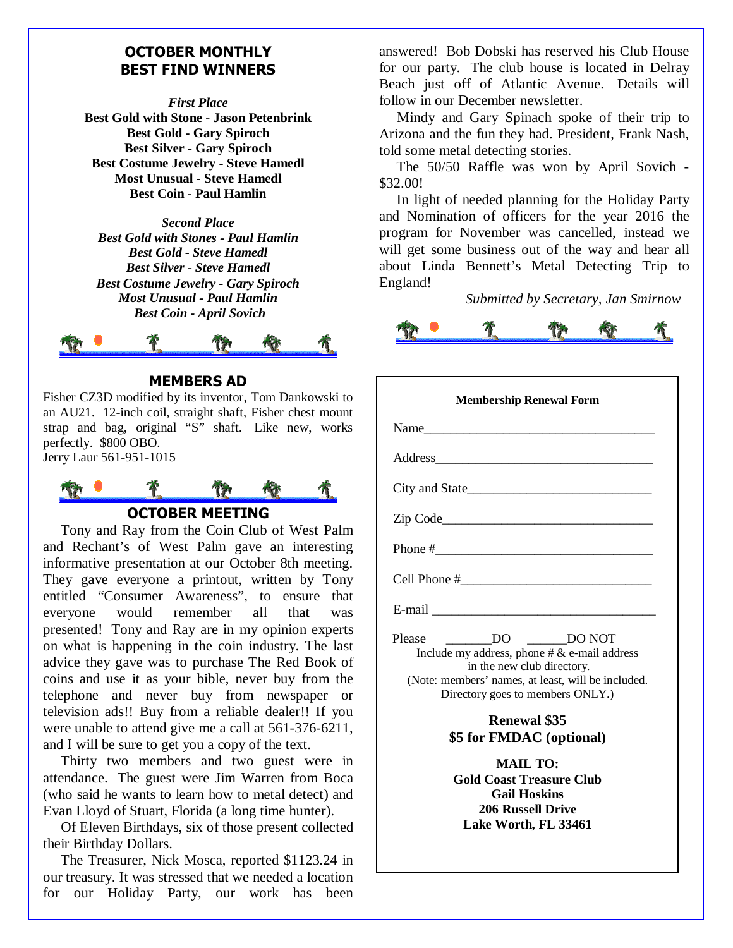#### **OCTOBER MONTHLY BEST FIND WINNERS**

*First Place*

**Best Gold with Stone - Jason Petenbrink Best Gold - Gary Spiroch Best Silver - Gary Spiroch Best Costume Jewelry - Steve Hamedl Most Unusual - Steve Hamedl Best Coin - Paul Hamlin**

*Second Place Best Gold with Stones - Paul Hamlin Best Gold - Steve Hamedl Best Silver - Steve Hamedl Best Costume Jewelry - Gary Spiroch Most Unusual - Paul Hamlin Best Coin - April Sovich*



#### **MEMBERS AD**

Fisher CZ3D modified by its inventor, Tom Dankowski to an AU21. 12-inch coil, straight shaft, Fisher chest mount strap and bag, original "S" shaft. Like new, works perfectly. \$800 OBO. Jerry Laur 561-951-1015



**OCTOBER MEETING**

Tony and Ray from the Coin Club of West Palm and Rechant's of West Palm gave an interesting informative presentation at our October 8th meeting. They gave everyone a printout, written by Tony entitled "Consumer Awareness", to ensure that everyone would remember all that was presented! Tony and Ray are in my opinion experts on what is happening in the coin industry. The last advice they gave was to purchase The Red Book of coins and use it as your bible, never buy from the telephone and never buy from newspaper or television ads!! Buy from a reliable dealer!! If you were unable to attend give me a call at 561-376-6211, and I will be sure to get you a copy of the text.

Thirty two members and two guest were in attendance. The guest were Jim Warren from Boca (who said he wants to learn how to metal detect) and Evan Lloyd of Stuart, Florida (a long time hunter).

Of Eleven Birthdays, six of those present collected their Birthday Dollars.

The Treasurer, Nick Mosca, reported \$1123.24 in our treasury. It was stressed that we needed a location for our Holiday Party, our work has been

answered! Bob Dobski has reserved his Club House for our party. The club house is located in Delray Beach just off of Atlantic Avenue. Details will follow in our December newsletter.

Mindy and Gary Spinach spoke of their trip to Arizona and the fun they had. President, Frank Nash, told some metal detecting stories.

The 50/50 Raffle was won by April Sovich - \$32.00!

In light of needed planning for the Holiday Party and Nomination of officers for the year 2016 the program for November was cancelled, instead we will get some business out of the way and hear all about Linda Bennett's Metal Detecting Trip to England!

*Submitted by Secretary, Jan Smirnow*



| <b>Membership Renewal Form</b>                                                                                                                                                                                                                                                                                                               |
|----------------------------------------------------------------------------------------------------------------------------------------------------------------------------------------------------------------------------------------------------------------------------------------------------------------------------------------------|
|                                                                                                                                                                                                                                                                                                                                              |
|                                                                                                                                                                                                                                                                                                                                              |
|                                                                                                                                                                                                                                                                                                                                              |
|                                                                                                                                                                                                                                                                                                                                              |
|                                                                                                                                                                                                                                                                                                                                              |
|                                                                                                                                                                                                                                                                                                                                              |
|                                                                                                                                                                                                                                                                                                                                              |
| $\Box$ DO $\Box$ DO NOT<br>Please<br>Include my address, phone $# \&$ e-mail address<br>in the new club directory.<br>(Note: members' names, at least, will be included.<br>Directory goes to members ONLY.)<br><b>Renewal \$35</b><br>\$5 for FMDAC (optional)<br><b>MAIL TO:</b><br><b>Gold Coast Treasure Club</b><br><b>Gail Hoskins</b> |
| <b>206 Russell Drive</b><br>Lake Worth, FL 33461                                                                                                                                                                                                                                                                                             |
|                                                                                                                                                                                                                                                                                                                                              |